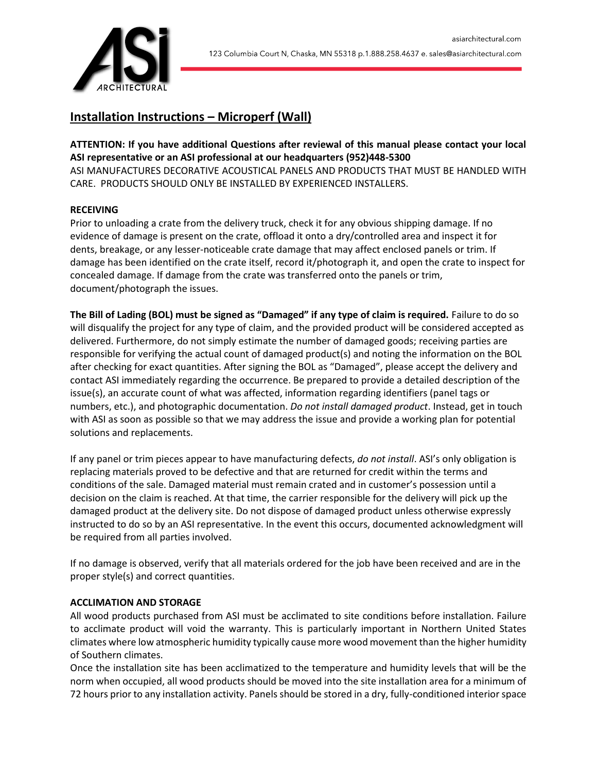

# **Installation Instructions – Microperf (Wall)**

**ATTENTION: If you have additional Questions after reviewal of this manual please contact your local ASI representative or an ASI professional at our headquarters (952)448-5300** ASI MANUFACTURES DECORATIVE ACOUSTICAL PANELS AND PRODUCTS THAT MUST BE HANDLED WITH CARE. PRODUCTS SHOULD ONLY BE INSTALLED BY EXPERIENCED INSTALLERS.

## **RECEIVING**

Prior to unloading a crate from the delivery truck, check it for any obvious shipping damage. If no evidence of damage is present on the crate, offload it onto a dry/controlled area and inspect it for dents, breakage, or any lesser-noticeable crate damage that may affect enclosed panels or trim. If damage has been identified on the crate itself, record it/photograph it, and open the crate to inspect for concealed damage. If damage from the crate was transferred onto the panels or trim, document/photograph the issues.

**The Bill of Lading (BOL) must be signed as "Damaged" if any type of claim is required.** Failure to do so will disqualify the project for any type of claim, and the provided product will be considered accepted as delivered. Furthermore, do not simply estimate the number of damaged goods; receiving parties are responsible for verifying the actual count of damaged product(s) and noting the information on the BOL after checking for exact quantities. After signing the BOL as "Damaged", please accept the delivery and contact ASI immediately regarding the occurrence. Be prepared to provide a detailed description of the issue(s), an accurate count of what was affected, information regarding identifiers (panel tags or numbers, etc.), and photographic documentation. *Do not install damaged product*. Instead, get in touch with ASI as soon as possible so that we may address the issue and provide a working plan for potential solutions and replacements.

If any panel or trim pieces appear to have manufacturing defects, *do not install*. ASI's only obligation is replacing materials proved to be defective and that are returned for credit within the terms and conditions of the sale. Damaged material must remain crated and in customer's possession until a decision on the claim is reached. At that time, the carrier responsible for the delivery will pick up the damaged product at the delivery site. Do not dispose of damaged product unless otherwise expressly instructed to do so by an ASI representative. In the event this occurs, documented acknowledgment will be required from all parties involved.

If no damage is observed, verify that all materials ordered for the job have been received and are in the proper style(s) and correct quantities.

## **ACCLIMATION AND STORAGE**

All wood products purchased from ASI must be acclimated to site conditions before installation. Failure to acclimate product will void the warranty. This is particularly important in Northern United States climates where low atmospheric humidity typically cause more wood movement than the higher humidity of Southern climates.

Once the installation site has been acclimatized to the temperature and humidity levels that will be the norm when occupied, all wood products should be moved into the site installation area for a minimum of 72 hours prior to any installation activity. Panels should be stored in a dry, fully-conditioned interior space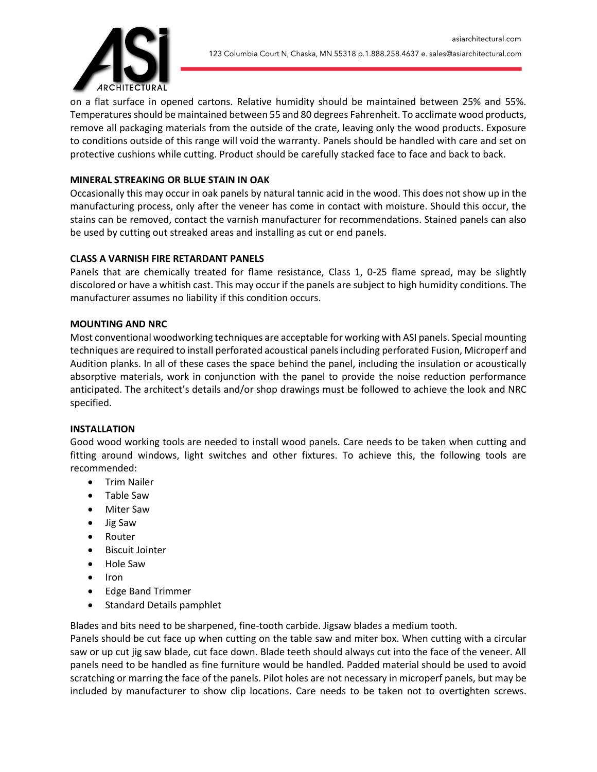

on a flat surface in opened cartons. Relative humidity should be maintained between 25% and 55%. Temperatures should be maintained between 55 and 80 degrees Fahrenheit. To acclimate wood products, remove all packaging materials from the outside of the crate, leaving only the wood products. Exposure to conditions outside of this range will void the warranty. Panels should be handled with care and set on protective cushions while cutting. Product should be carefully stacked face to face and back to back.

## **MINERAL STREAKING OR BLUE STAIN IN OAK**

Occasionally this may occur in oak panels by natural tannic acid in the wood. This does not show up in the manufacturing process, only after the veneer has come in contact with moisture. Should this occur, the stains can be removed, contact the varnish manufacturer for recommendations. Stained panels can also be used by cutting out streaked areas and installing as cut or end panels.

## **CLASS A VARNISH FIRE RETARDANT PANELS**

Panels that are chemically treated for flame resistance, Class 1, 0-25 flame spread, may be slightly discolored or have a whitish cast. This may occur if the panels are subject to high humidity conditions. The manufacturer assumes no liability if this condition occurs.

## **MOUNTING AND NRC**

Most conventional woodworking techniques are acceptable for working with ASI panels. Special mounting techniques are required to install perforated acoustical panels including perforated Fusion, Microperf and Audition planks. In all of these cases the space behind the panel, including the insulation or acoustically absorptive materials, work in conjunction with the panel to provide the noise reduction performance anticipated. The architect's details and/or shop drawings must be followed to achieve the look and NRC specified.

## **INSTALLATION**

Good wood working tools are needed to install wood panels. Care needs to be taken when cutting and fitting around windows, light switches and other fixtures. To achieve this, the following tools are recommended:

- Trim Nailer
- Table Saw
- Miter Saw
- Jig Saw
- Router
- Biscuit Jointer
- Hole Saw
- Iron
- Edge Band Trimmer
- Standard Details pamphlet

Blades and bits need to be sharpened, fine-tooth carbide. Jigsaw blades a medium tooth.

Panels should be cut face up when cutting on the table saw and miter box. When cutting with a circular saw or up cut jig saw blade, cut face down. Blade teeth should always cut into the face of the veneer. All panels need to be handled as fine furniture would be handled. Padded material should be used to avoid scratching or marring the face of the panels. Pilot holes are not necessary in microperf panels, but may be included by manufacturer to show clip locations. Care needs to be taken not to overtighten screws.